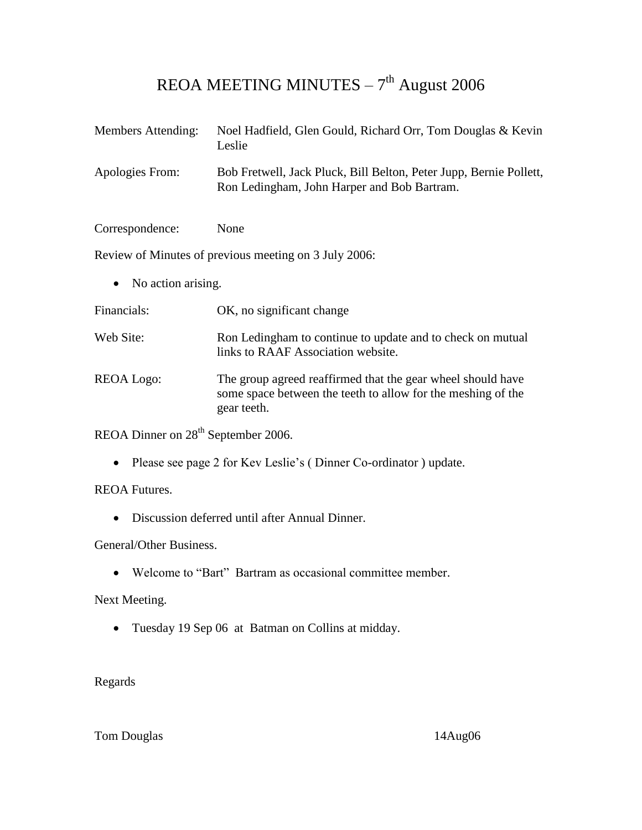## REOA MEETING MINUTES  $-7<sup>th</sup>$  August 2006

| <b>Members Attending:</b>       | Noel Hadfield, Glen Gould, Richard Orr, Tom Douglas & Kevin<br>Leslie                                                                      |
|---------------------------------|--------------------------------------------------------------------------------------------------------------------------------------------|
| Apologies From:                 | Bob Fretwell, Jack Pluck, Bill Belton, Peter Jupp, Bernie Pollett,<br>Ron Ledingham, John Harper and Bob Bartram.                          |
| Correspondence:                 | None                                                                                                                                       |
|                                 | Review of Minutes of previous meeting on 3 July 2006:                                                                                      |
| No action arising.<br>$\bullet$ |                                                                                                                                            |
| Financials:                     | OK, no significant change                                                                                                                  |
| Web Site:                       | Ron Ledingham to continue to update and to check on mutual<br>links to RAAF Association website.                                           |
| REOA Logo:                      | The group agreed reaffirmed that the gear wheel should have<br>some space between the teeth to allow for the meshing of the<br>gear teeth. |

REOA Dinner on 28<sup>th</sup> September 2006.

Please see page 2 for Kev Leslie's ( Dinner Co-ordinator ) update.

REOA Futures.

Discussion deferred until after Annual Dinner.

General/Other Business.

Welcome to "Bart" Bartram as occasional committee member.

Next Meeting.

Tuesday 19 Sep 06 at Batman on Collins at midday.

Regards

Tom Douglas 14Aug06